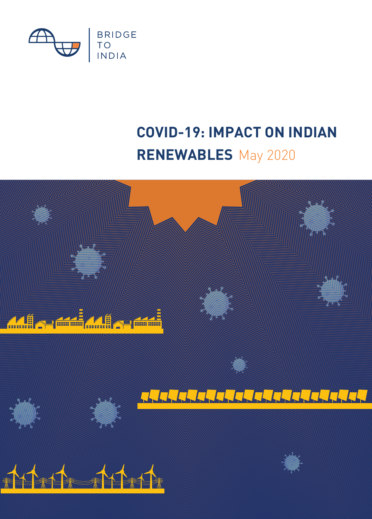

# **RENEWABLES** May 2020 **COVID-19: IMPACT ON INDIAN**

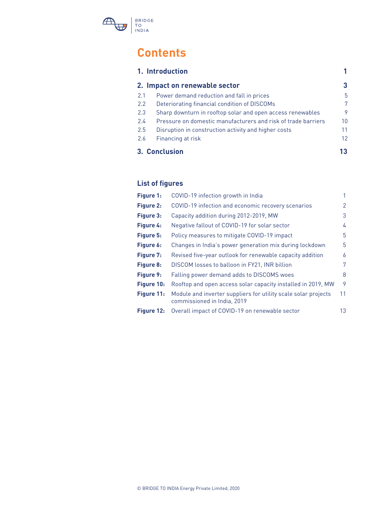

## **Contents**

|               | 1. Introduction                                               |    |
|---------------|---------------------------------------------------------------|----|
|               | 2. Impact on renewable sector                                 | 3  |
| 2.1           | Power demand reduction and fall in prices                     | 5  |
| 2.2           | Deteriorating financial condition of DISCOMs                  | 7  |
| 2.3           | Sharp downturn in rooftop solar and open access renewables    | 9  |
| 2.4           | Pressure on domestic manufacturers and risk of trade barriers | 10 |
| 2.5           | Disruption in construction activity and higher costs          | 11 |
| 2.6           | Financing at risk                                             | 12 |
| 3. Conclusion |                                                               |    |

## **List of figures**

| Figure 1:  | COVID-19 infection growth in India                                                            | 1  |
|------------|-----------------------------------------------------------------------------------------------|----|
| Figure 2:  | COVID-19 infection and economic recovery scenarios                                            | 2  |
| Figure 3:  | Capacity addition during 2012-2019, MW                                                        | 3  |
| Figure 4:  | Negative fallout of COVID-19 for solar sector                                                 | 4  |
| Figure 5:  | Policy measures to mitigate COVID-19 impact                                                   | 5  |
| Figure 6:  | Changes in India's power generation mix during lockdown                                       | 5  |
| Figure 7:  | Revised five-year outlook for renewable capacity addition                                     | 6  |
| Figure 8:  | DISCOM losses to balloon in FY21, INR billion                                                 | 7  |
| Figure 9:  | Falling power demand adds to DISCOMS woes                                                     | 8  |
| Figure 10: | Rooftop and open access solar capacity installed in 2019, MW                                  | 9  |
| Figure 11: | Module and inverter suppliers for utility scale solar projects<br>commissioned in India, 2019 | 11 |
| Figure 12: | Overall impact of COVID-19 on renewable sector                                                | 13 |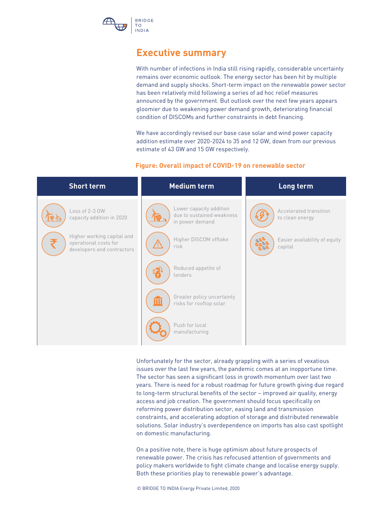

## **Executive summary**

With number of infections in India still rising rapidly, considerable uncertainty remains over economic outlook. The energy sector has been hit by multiple demand and supply shocks. Short-term impact on the renewable power sector has been relatively mild following a series of ad hoc relief measures announced by the government. But outlook over the next few years appears gloomier due to weakening power demand growth, deteriorating financial condition of DISCOMs and further constraints in debt financing.

We have accordingly revised our base case solar and wind power capacity addition estimate over 2020-2024 to 35 and 12 GW, down from our previous estimate of 43 GW and 15 GW respectively.

#### **Figure: Overall impact of COVID-19 on renewable sector**

| <b>Short term</b>                                                                 | <b>Medium term</b>                                                      | Long term                                 |
|-----------------------------------------------------------------------------------|-------------------------------------------------------------------------|-------------------------------------------|
| Loss of 2-3 GW<br>capacity addition in 2020                                       | Lower capacity addition<br>due to sustained weakness<br>in power demand | Accelerated transition<br>to clean energy |
| Higher working capital and<br>operational costs for<br>developers and contractors | Higher DISCOM offtake<br>risk                                           | Easier availability of equity<br>capital  |
|                                                                                   | Reduced appetite of<br>lenders                                          |                                           |
|                                                                                   | Greater policy uncertainty<br>Ш<br>risks for rooftop solar              |                                           |
|                                                                                   | Push for local<br>manufacturing                                         |                                           |

Unfortunately for the sector, already grappling with a series of vexatious issues over the last few years, the pandemic comes at an inopportune time. The sector has seen a significant loss in growth momentum over last two years. There is need for a robust roadmap for future growth giving due regard to long-term structural benefits of the sector – improved air quality, energy access and job creation. The government should focus specifically on reforming power distribution sector, easing land and transmission constraints, and accelerating adoption of storage and distributed renewable solutions. Solar industry's overdependence on imports has also cast spotlight on domestic manufacturing.

On a positive note, there is huge optimism about future prospects of renewable power. The crisis has refocused attention of governments and policy makers worldwide to fight climate change and localise energy supply. Both these priorities play to renewable power's advantage.

© BRIDGE TO INDIA Energy Private Limited, 2020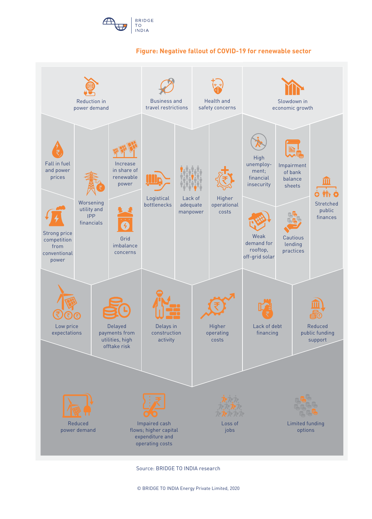

#### **Figure: Negative fallout of COVID-19 for renewable sector**



Source: BRIDGE TO INDIA research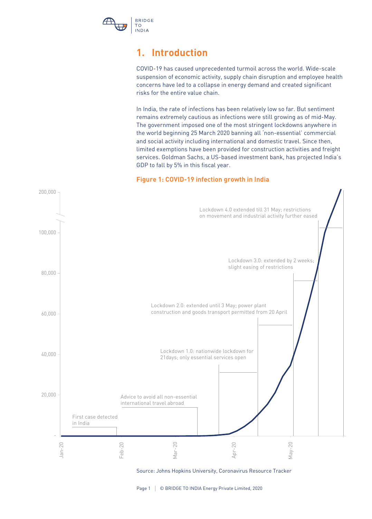

## **1. Introduction**

COVID-19 has caused unprecedented turmoil across the world. Wide-scale suspension of economic activity, supply chain disruption and employee health concerns have led to a collapse in energy demand and created significant risks for the entire value chain.

In India, the rate of infections has been relatively low so far. But sentiment remains extremely cautious as infections were still growing as of mid-May. The government imposed one of the most stringent lockdowns anywhere in the world beginning 25 March 2020 banning all 'non-essential' commercial and social activity including international and domestic travel. Since then, limited exemptions have been provided for construction activities and freight services. Goldman Sachs, a US-based investment bank, has projected India's GDP to fall by 5% in this fiscal year.

#### **Figure 1: COVID-19 infection growth in India**



Source: Johns Hopkins University, Coronavirus Resource Tracker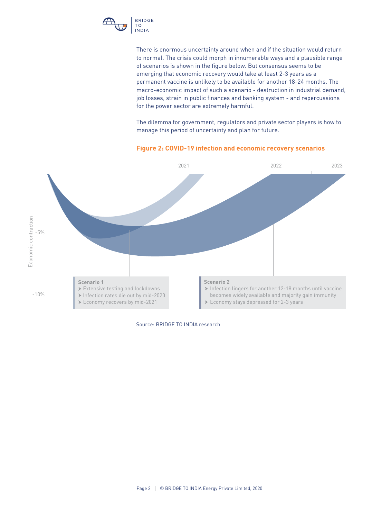

There is enormous uncertainty around when and if the situation would return to normal. The crisis could morph in innumerable ways and a plausible range of scenarios is shown in the figure below. But consensus seems to be emerging that economic recovery would take at least 2-3 years as a permanent vaccine is unlikely to be available for another 18-24 months. The macro-economic impact of such a scenario - destruction in industrial demand, job losses, strain in public finances and banking system - and repercussions for the power sector are extremely harmful.

The dilemma for government, regulators and private sector players is how to manage this period of uncertainty and plan for future.

#### **Figure 2: COVID-19 infection and economic recovery scenarios**



Source: BRIDGE TO INDIA research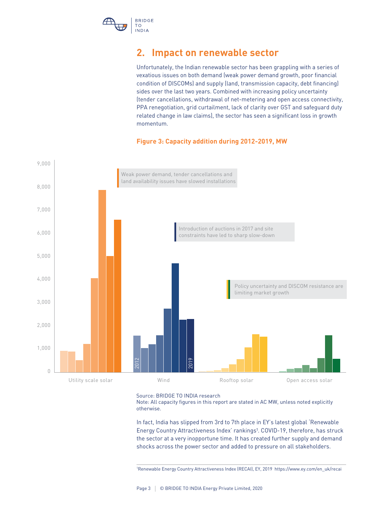

## **2. Impact on renewable sector**

Unfortunately, the Indian renewable sector has been grappling with a series of vexatious issues on both demand (weak power demand growth, poor financial condition of DISCOMs) and supply (land, transmission capacity, debt financing) sides over the last two years. Combined with increasing policy uncertainty (tender cancellations, withdrawal of net-metering and open access connectivity, PPA renegotiation, grid curtailment, lack of clarity over GST and safeguard duty related change in law claims), the sector has seen a significant loss in growth momentum.

#### **Figure 3: Capacity addition during 2012-2019, MW**



Source: BRIDGE TO INDIA research

Note: All capacity figures in this report are stated in AC MW, unless noted explicitly otherwise.

In fact, India has slipped from 3rd to 7th place in EY's latest global 'Renewable Energy Country Attractiveness Index' rankings<sup>1</sup>. COVID-19, therefore, has struck the sector at a very inopportune time. It has created further supply and demand shocks across the power sector and added to pressure on all stakeholders.

1 Renewable Energy Country Attractiveness Index (RECAI), EY, 2019 https://www.ey.com/en\_uk/recai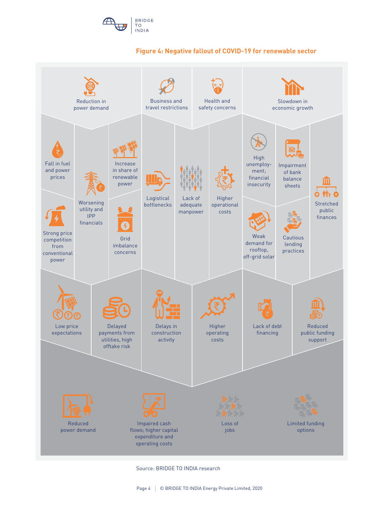





Source: BRIDGE TO INDIA research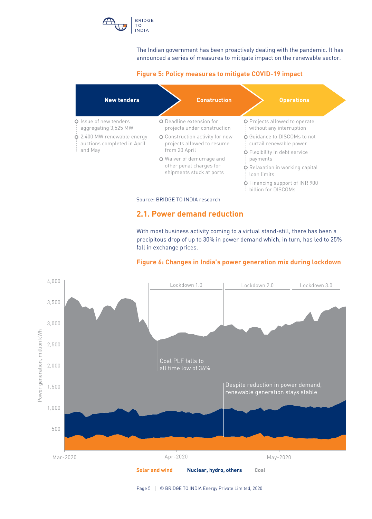

The Indian government has been proactively dealing with the pandemic. It has announced a series of measures to mitigate impact on the renewable sector.

#### **Figure 5: Policy measures to mitigate COVID-19 impact**



#### **2.1. Power demand reduction**

With most business activity coming to a virtual stand-still, there has been a precipitous drop of up to 30% in power demand which, in turn, has led to 25% fall in exchange prices.

#### **Figure 6: Changes in India's power generation mix during lockdown**

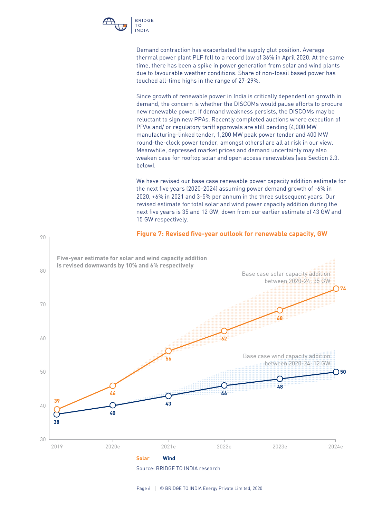

90

Demand contraction has exacerbated the supply glut position. Average thermal power plant PLF fell to a record low of 36% in April 2020. At the same time, there has been a spike in power generation from solar and wind plants due to favourable weather conditions. Share of non-fossil based power has touched all-time highs in the range of 27-29%.

Since growth of renewable power in India is critically dependent on growth in demand, the concern is whether the DISCOMs would pause efforts to procure new renewable power. If demand weakness persists, the DISCOMs may be reluctant to sign new PPAs. Recently completed auctions where execution of PPAs and/ or regulatory tariff approvals are still pending (4,000 MW manufacturing-linked tender, 1,200 MW peak power tender and 400 MW round-the-clock power tender, amongst others) are all at risk in our view. Meanwhile, depressed market prices and demand uncertainty may also weaken case for rooftop solar and open access renewables (see Section 2.3. below).

We have revised our base case renewable power capacity addition estimate for the next five years (2020-2024) assuming power demand growth of -6% in 2020, +6% in 2021 and 3-5% per annum in the three subsequent years. Our revised estimate for total solar and wind power capacity addition during the next five years is 35 and 12 GW, down from our earlier estimate of 43 GW and 15 GW respectively.

#### **Figure 7: Revised five-year outlook for renewable capacity, GW**



Source: BRIDGE TO INDIA research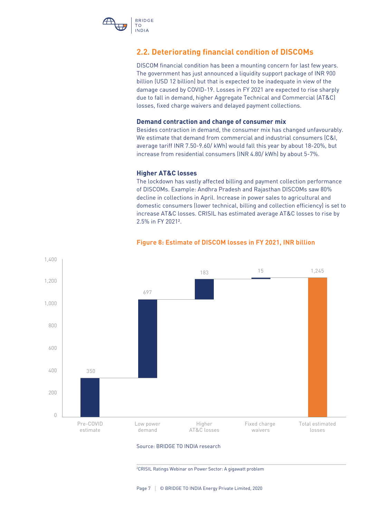

#### **2.2. Deteriorating financial condition of DISCOMs**

DISCOM financial condition has been a mounting concern for last few years. The government has just announced a liquidity support package of INR 900 billion (USD 12 billion) but that is expected to be inadequate in view of the damage caused by COVID-19. Losses in FY 2021 are expected to rise sharply due to fall in demand, higher Aggregate Technical and Commercial (AT&C) losses, fixed charge waivers and delayed payment collections.

#### **Demand contraction and change of consumer mix**

Besides contraction in demand, the consumer mix has changed unfavourably. We estimate that demand from commercial and industrial consumers (C&I, average tariff INR 7.50-9.60/ kWh) would fall this year by about 18-20%, but increase from residential consumers (INR 4.80/ kWh) by about 5-7%.

#### **Higher AT&C losses**

The lockdown has vastly affected billing and payment collection performance of DISCOMs. Example: Andhra Pradesh and Rajasthan DISCOMs saw 80% decline in collections in April. Increase in power sales to agricultural and domestic consumers (lower technical, billing and collection efficiency) is set to increase AT&C losses. CRISIL has estimated average AT&C losses to rise by 2.5% in FY 2021².



#### **Figure 8: Estimate of DISCOM losses in FY 2021, INR billion**

#### Source: BRIDGE TO INDIA research

2 CRISIL Ratings Webinar on Power Sector: A gigawatt problem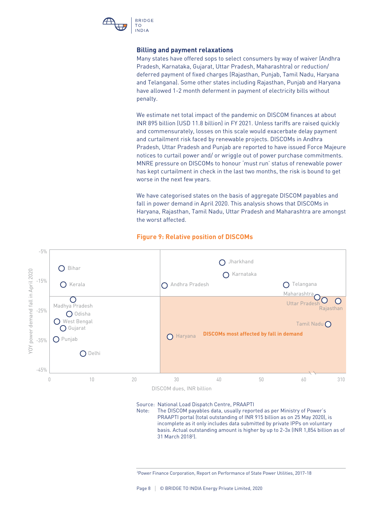

#### **Billing and payment relaxations**

Many states have offered sops to select consumers by way of waiver (Andhra Pradesh, Karnataka, Gujarat, Uttar Pradesh, Maharashtra) or reduction/ deferred payment of fixed charges (Rajasthan, Punjab, Tamil Nadu, Haryana and Telangana). Some other states including Rajasthan, Punjab and Haryana have allowed 1-2 month deferment in payment of electricity bills without penalty.

We estimate net total impact of the pandemic on DISCOM finances at about INR 895 billion (USD 11.8 billion) in FY 2021. Unless tariffs are raised quickly and commensurately, losses on this scale would exacerbate delay payment and curtailment risk faced by renewable projects. DISCOMs in Andhra Pradesh, Uttar Pradesh and Punjab are reported to have issued Force Majeure notices to curtail power and/ or wriggle out of power purchase commitments. MNRE pressure on DISCOMs to honour 'must run' status of renewable power has kept curtailment in check in the last two months, the risk is bound to get worse in the next few years.

We have categorised states on the basis of aggregate DISCOM payables and fall in power demand in April 2020. This analysis shows that DISCOMs in Haryana, Rajasthan, Tamil Nadu, Uttar Pradesh and Maharashtra are amongst the worst affected.



#### **Figure 9: Relative position of DISCOMs**

Source: National Load Dispatch Centre, PRAAPTI

Note: The DISCOM payables data, usually reported as per Ministry of Power's PRAAPTI portal (total outstanding of INR 915 billion as on 25 May 2020), is incomplete as it only includes data submitted by private IPPs on voluntary basis. Actual outstanding amount is higher by up to 2-3x (INR 1,854 billion as of 31 March 20182 ).

<sup>2</sup> Power Finance Corporation, Report on Performance of State Power Utilities, 2017-18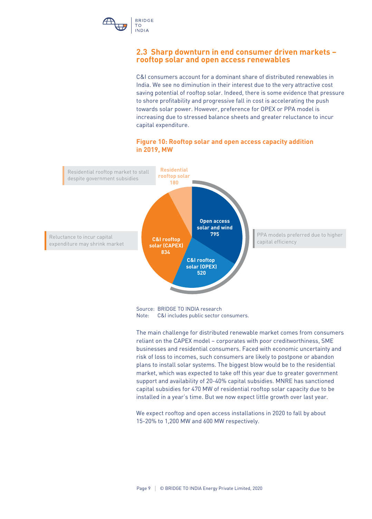

#### **2.3 Sharp downturn in end consumer driven markets – rooftop solar and open access renewables**

C&I consumers account for a dominant share of distributed renewables in India. We see no diminution in their interest due to the very attractive cost saving potential of rooftop solar. Indeed, there is some evidence that pressure to shore profitability and progressive fall in cost is accelerating the push towards solar power. However, preference for OPEX or PPA model is increasing due to stressed balance sheets and greater reluctance to incur capital expenditure.

#### **Figure 10: Rooftop solar and open access capacity addition in 2019, MW**



The main challenge for distributed renewable market comes from consumers reliant on the CAPEX model – corporates with poor creditworthiness, SME businesses and residential consumers. Faced with economic uncertainty and risk of loss to incomes, such consumers are likely to postpone or abandon plans to install solar systems. The biggest blow would be to the residential market, which was expected to take off this year due to greater government support and availability of 20-40% capital subsidies. MNRE has sanctioned capital subsidies for 470 MW of residential rooftop solar capacity due to be installed in a year's time. But we now expect little growth over last year.

We expect rooftop and open access installations in 2020 to fall by about 15-20% to 1,200 MW and 600 MW respectively.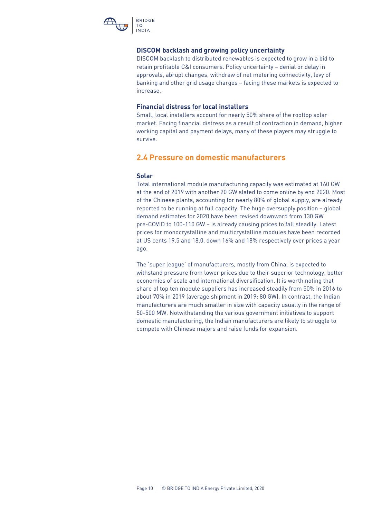

#### **DISCOM backlash and growing policy uncertainty**

DISCOM backlash to distributed renewables is expected to grow in a bid to retain profitable C&I consumers. Policy uncertainty – denial or delay in approvals, abrupt changes, withdraw of net metering connectivity, levy of banking and other grid usage charges – facing these markets is expected to increase.

#### **Financial distress for local installers**

Small, local installers account for nearly 50% share of the rooftop solar market. Facing financial distress as a result of contraction in demand, higher working capital and payment delays, many of these players may struggle to survive.

#### **2.4 Pressure on domestic manufacturers**

#### **Solar**

Total international module manufacturing capacity was estimated at 160 GW at the end of 2019 with another 20 GW slated to come online by end 2020. Most of the Chinese plants, accounting for nearly 80% of global supply, are already reported to be running at full capacity. The huge oversupply position – global demand estimates for 2020 have been revised downward from 130 GW pre-COVID to 100-110 GW – is already causing prices to fall steadily. Latest prices for monocrystalline and multicrystalline modules have been recorded at US cents 19.5 and 18.0, down 16% and 18% respectively over prices a year ago.

The 'super league' of manufacturers, mostly from China, is expected to withstand pressure from lower prices due to their superior technology, better economies of scale and international diversification. It is worth noting that share of top ten module suppliers has increased steadily from 50% in 2016 to about 70% in 2019 (average shipment in 2019: 80 GW). In contrast, the Indian manufacturers are much smaller in size with capacity usually in the range of 50-500 MW. Notwithstanding the various government initiatives to support domestic manufacturing, the Indian manufacturers are likely to struggle to compete with Chinese majors and raise funds for expansion.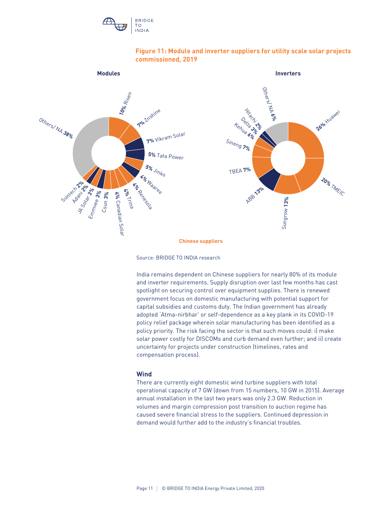



#### **Figure 11: Module and inverter suppliers for utility scale solar projects commissioned, 2019**

Source: BRIDGE TO INDIA research

India remains dependent on Chinese suppliers for nearly 80% of its module and inverter requirements. Supply disruption over last few months has cast spotlight on securing control over equipment supplies. There is renewed government focus on domestic manufacturing with potential support for capital subsidies and customs duty. The Indian government has already adopted 'Atma-nirbhar' or self-dependence as a key plank in its COVID-19 policy relief package wherein solar manufacturing has been identified as a policy priority. The risk facing the sector is that such moves could: i) make solar power costly for DISCOMs and curb demand even further; and ii) create uncertainty for projects under construction (timelines, rates and compensation process).

#### **Wind**

There are currently eight domestic wind turbine suppliers with total operational capacity of 7 GW (down from 15 numbers, 10 GW in 2015). Average annual installation in the last two years was only 2.3 GW. Reduction in volumes and margin compression post transition to auction regime has caused severe financial stress to the suppliers. Continued depression in demand would further add to the industry's financial troubles.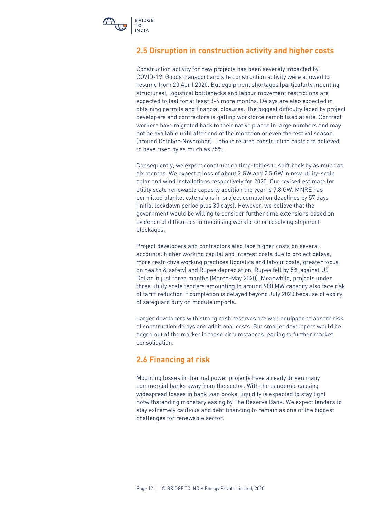

#### **2.5 Disruption in construction activity and higher costs**

Construction activity for new projects has been severely impacted by COVID-19. Goods transport and site construction activity were allowed to resume from 20 April 2020. But equipment shortages (particularly mounting structures), logistical bottlenecks and labour movement restrictions are expected to last for at least 3-4 more months. Delays are also expected in obtaining permits and financial closures. The biggest difficulty faced by project developers and contractors is getting workforce remobilised at site. Contract workers have migrated back to their native places in large numbers and may not be available until after end of the monsoon or even the festival season (around October-November). Labour related construction costs are believed to have risen by as much as 75%.

Consequently, we expect construction time-tables to shift back by as much as six months. We expect a loss of about 2 GW and 2.5 GW in new utility-scale solar and wind installations respectively for 2020. Our revised estimate for utility scale renewable capacity addition the year is 7.8 GW. MNRE has permitted blanket extensions in project completion deadlines by 57 days (initial lockdown period plus 30 days). However, we believe that the government would be willing to consider further time extensions based on evidence of difficulties in mobilising workforce or resolving shipment blockages.

Project developers and contractors also face higher costs on several accounts: higher working capital and interest costs due to project delays, more restrictive working practices (logistics and labour costs, greater focus on health & safety) and Rupee depreciation. Rupee fell by 5% against US Dollar in just three months (March-May 2020). Meanwhile, projects under three utility scale tenders amounting to around 900 MW capacity also face risk of tariff reduction if completion is delayed beyond July 2020 because of expiry of safeguard duty on module imports.

Larger developers with strong cash reserves are well equipped to absorb risk of construction delays and additional costs. But smaller developers would be edged out of the market in these circumstances leading to further market consolidation.

### **2.6 Financing at risk**

Mounting losses in thermal power projects have already driven many commercial banks away from the sector. With the pandemic causing widespread losses in bank loan books, liquidity is expected to stay tight notwithstanding monetary easing by The Reserve Bank. We expect lenders to stay extremely cautious and debt financing to remain as one of the biggest challenges for renewable sector.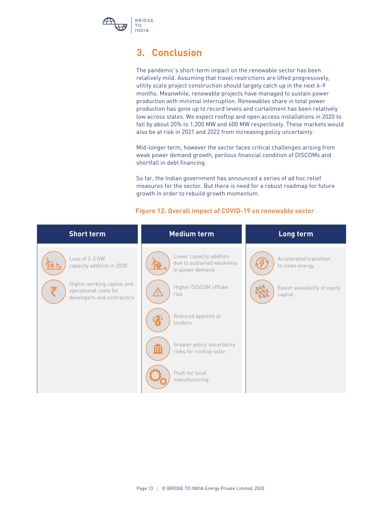

## **3. Conclusion**

The pandemic's short-term impact on the renewable sector has been relatively mild. Assuming that travel restrictions are lifted progressively, utility scale project construction should largely catch up in the next 6-9 months. Meanwhile, renewable projects have managed to sustain power production with minimal interruption. Renewables share in total power production has gone up to record levels and curtailment has been relatively low across states. We expect rooftop and open access installations in 2020 to fall by about 20% to 1,200 MW and 600 MW respectively. These markets would also be at risk in 2021 and 2022 from increasing policy uncertainty.

Mid-longer term, however the sector faces critical challenges arising from weak power demand growth, perilous financial condition of DISCOMs and shortfall in debt financing.

So far, the Indian government has announced a series of ad hoc relief measures for the sector. But there is need for a robust roadmap for future growth in order to rebuild growth momentum.

| <b>Short term</b>                                                                 | <b>Medium term</b>                                                      | Long term                                 |
|-----------------------------------------------------------------------------------|-------------------------------------------------------------------------|-------------------------------------------|
| Loss of 2-3 GW<br>capacity addition in 2020                                       | Lower capacity addition<br>due to sustained weakness<br>in power demand | Accelerated transition<br>to clean energy |
| Higher working capital and<br>operational costs for<br>developers and contractors | Higher DISCOM offtake<br>risk                                           | Easier availability of equity<br>capital  |
|                                                                                   | Reduced appetite of<br>lenders                                          |                                           |
|                                                                                   | Greater policy uncertainty<br>Ш<br>risks for rooftop solar              |                                           |
|                                                                                   | Push for local<br>manufacturing                                         |                                           |

#### **Figure 12: Overall impact of COVID-19 on renewable sector**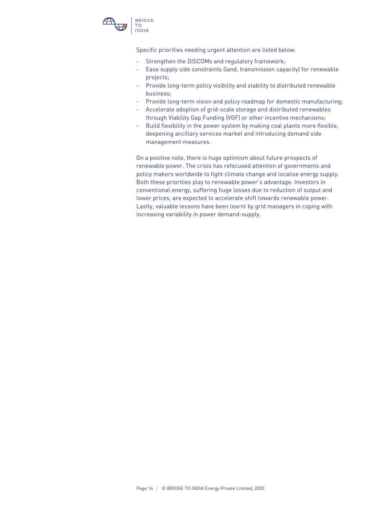

Specific priorities needing urgent attention are listed below.

- Strengthen the DISCOMs and regulatory framework;
- Ease supply side constraints (land, transmission capacity) for renewable projects;
- Provide long-term policy visibility and stability to distributed renewable business;
- Provide long-term vision and policy roadmap for domestic manufacturing;
- Accelerate adoption of grid-scale storage and distributed renewables through Viability Gap Funding (VGF) or other incentive mechanisms;
- Build flexibility in the power system by making coal plants more flexible, deepening ancillary services market and introducing demand side management measures.

On a positive note, there is huge optimism about future prospects of renewable power. The crisis has refocused attention of governments and policy makers worldwide to fight climate change and localise energy supply. Both these priorities play to renewable power's advantage. Investors in conventional energy, suffering huge losses due to reduction of output and lower prices, are expected to accelerate shift towards renewable power. Lastly, valuable lessons have been learnt by grid managers in coping with increasing variability in power demand-supply.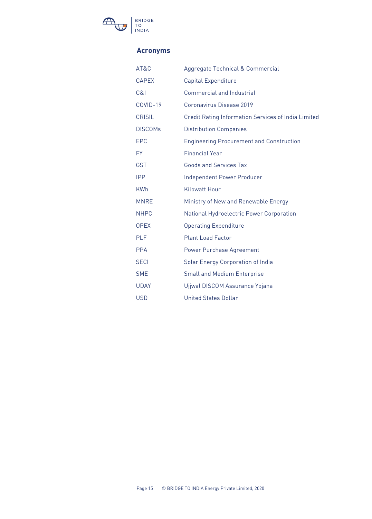

#### **Acronyms**

| AT&C           | Aggregate Technical & Commercial                    |
|----------------|-----------------------------------------------------|
| <b>CAPEX</b>   | <b>Capital Expenditure</b>                          |
| C&1            | Commercial and Industrial                           |
| COVID-19       | Coronavirus Disease 2019                            |
| <b>CRISIL</b>  | Credit Rating Information Services of India Limited |
| <b>DISCOMs</b> | <b>Distribution Companies</b>                       |
| <b>EPC</b>     | <b>Engineering Procurement and Construction</b>     |
| <b>FY</b>      | <b>Financial Year</b>                               |
| <b>GST</b>     | <b>Goods and Services Tax</b>                       |
| <b>IPP</b>     | Independent Power Producer                          |
| <b>KWh</b>     | <b>Kilowatt Hour</b>                                |
| <b>MNRE</b>    | Ministry of New and Renewable Energy                |
| <b>NHPC</b>    | National Hydroelectric Power Corporation            |
| <b>OPEX</b>    | <b>Operating Expenditure</b>                        |
| <b>PLF</b>     | <b>Plant Load Factor</b>                            |
| <b>PPA</b>     | <b>Power Purchase Agreement</b>                     |
| <b>SECI</b>    | <b>Solar Energy Corporation of India</b>            |
| <b>SME</b>     | <b>Small and Medium Enterprise</b>                  |
| <b>UDAY</b>    | Ujjwal DISCOM Assurance Yojana                      |
| <b>USD</b>     | <b>United States Dollar</b>                         |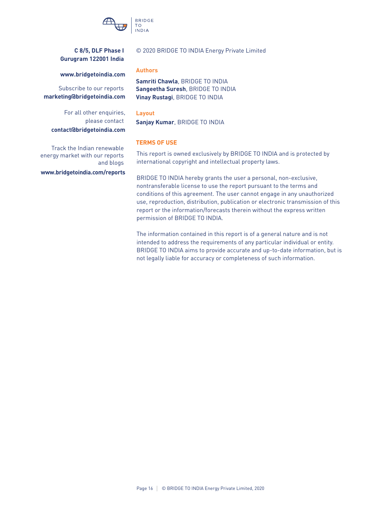

#### **C 8/5, DLF Phase I Gurugram 122001 India**

#### © 2020 BRIDGE TO INDIA Energy Private Limited

#### **Authors**

**Sangeetha Suresh**, BRIDGE TO INDIA **Samriti Chawla**, BRIDGE TO INDIA **Vinay Rustagi**, BRIDGE TO INDIA

#### **Layout**

**Sanjay Kumar**, BRIDGE TO INDIA

#### **TERMS OF USE**

This report is owned exclusively by BRIDGE TO INDIA and is protected by international copyright and intellectual property laws.

BRIDGE TO INDIA hereby grants the user a personal, non-exclusive, nontransferable license to use the report pursuant to the terms and conditions of this agreement. The user cannot engage in any unauthorized use, reproduction, distribution, publication or electronic transmission of this report or the information/forecasts therein without the express written permission of BRIDGE TO INDIA.

The information contained in this report is of a general nature and is not intended to address the requirements of any particular individual or entity. BRIDGE TO INDIA aims to provide accurate and up-to-date information, but is not legally liable for accuracy or completeness of such information.

#### **www.bridgetoindia.com**

Subscribe to our reports **marketing@bridgetoindia.com**

For all other enquiries, please contact **contact@bridgetoindia.com**

Track the Indian renewable energy market with our reports and blogs

**www.bridgetoindia.com/reports**